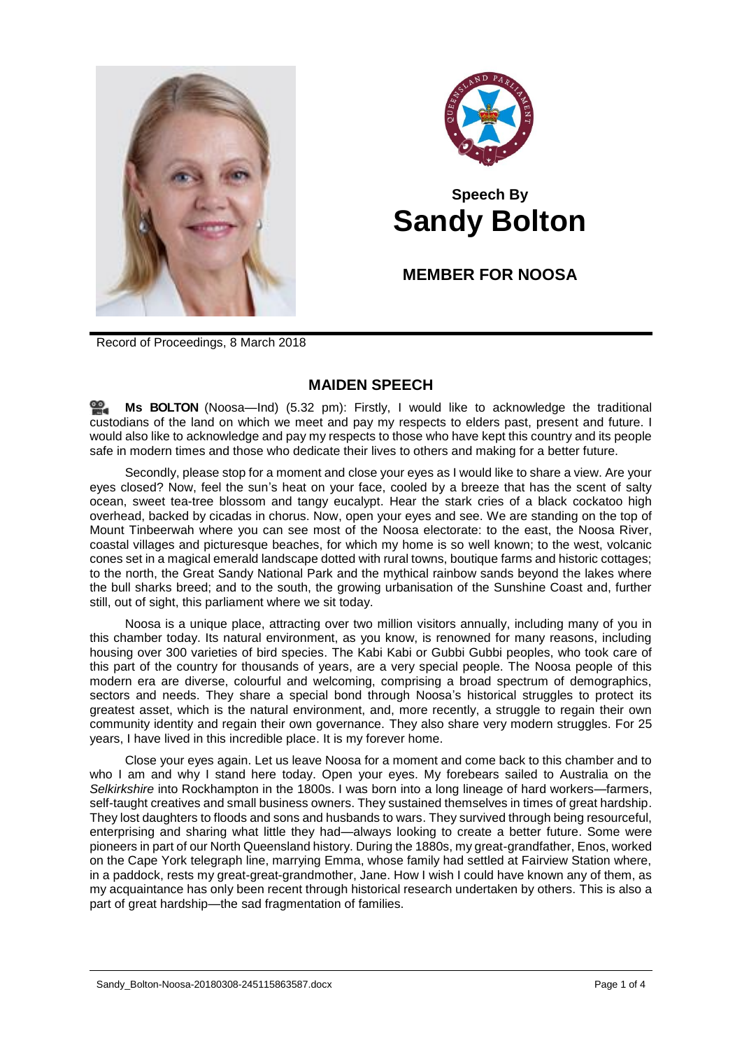



## **Speech By Sandy Bolton**

**MEMBER FOR NOOSA**

Record of Proceedings, 8 March 2018

## **MAIDEN SPEECH**

**Ms [BOLTON](http://www.parliament.qld.gov.au/docs/find.aspx?id=0Mba20180308_173231)** (Noosa—Ind) (5.32 pm): Firstly, I would like to acknowledge the traditional custodians of the land on which we meet and pay my respects to elders past, present and future. I would also like to acknowledge and pay my respects to those who have kept this country and its people safe in modern times and those who dedicate their lives to others and making for a better future.

Secondly, please stop for a moment and close your eyes as I would like to share a view. Are your eyes closed? Now, feel the sun's heat on your face, cooled by a breeze that has the scent of salty ocean, sweet tea-tree blossom and tangy eucalypt. Hear the stark cries of a black cockatoo high overhead, backed by cicadas in chorus. Now, open your eyes and see. We are standing on the top of Mount Tinbeerwah where you can see most of the Noosa electorate: to the east, the Noosa River, coastal villages and picturesque beaches, for which my home is so well known; to the west, volcanic cones set in a magical emerald landscape dotted with rural towns, boutique farms and historic cottages; to the north, the Great Sandy National Park and the mythical rainbow sands beyond the lakes where the bull sharks breed; and to the south, the growing urbanisation of the Sunshine Coast and, further still, out of sight, this parliament where we sit today.

Noosa is a unique place, attracting over two million visitors annually, including many of you in this chamber today. Its natural environment, as you know, is renowned for many reasons, including housing over 300 varieties of bird species. The Kabi Kabi or Gubbi Gubbi peoples, who took care of this part of the country for thousands of years, are a very special people. The Noosa people of this modern era are diverse, colourful and welcoming, comprising a broad spectrum of demographics, sectors and needs. They share a special bond through Noosa's historical struggles to protect its greatest asset, which is the natural environment, and, more recently, a struggle to regain their own community identity and regain their own governance. They also share very modern struggles. For 25 years, I have lived in this incredible place. It is my forever home.

Close your eyes again. Let us leave Noosa for a moment and come back to this chamber and to who I am and why I stand here today. Open your eyes. My forebears sailed to Australia on the Selkirkshire into Rockhampton in the 1800s. I was born into a long lineage of hard workers—farmers, self-taught creatives and small business owners. They sustained themselves in times of great hardship. They lost daughters to floods and sons and husbands to wars. They survived through being resourceful, enterprising and sharing what little they had—always looking to create a better future. Some were pioneers in part of our North Queensland history. During the 1880s, my great-grandfather, Enos, worked on the Cape York telegraph line, marrying Emma, whose family had settled at Fairview Station where, in a paddock, rests my great-great-grandmother, Jane. How I wish I could have known any of them, as my acquaintance has only been recent through historical research undertaken by others. This is also a part of great hardship—the sad fragmentation of families.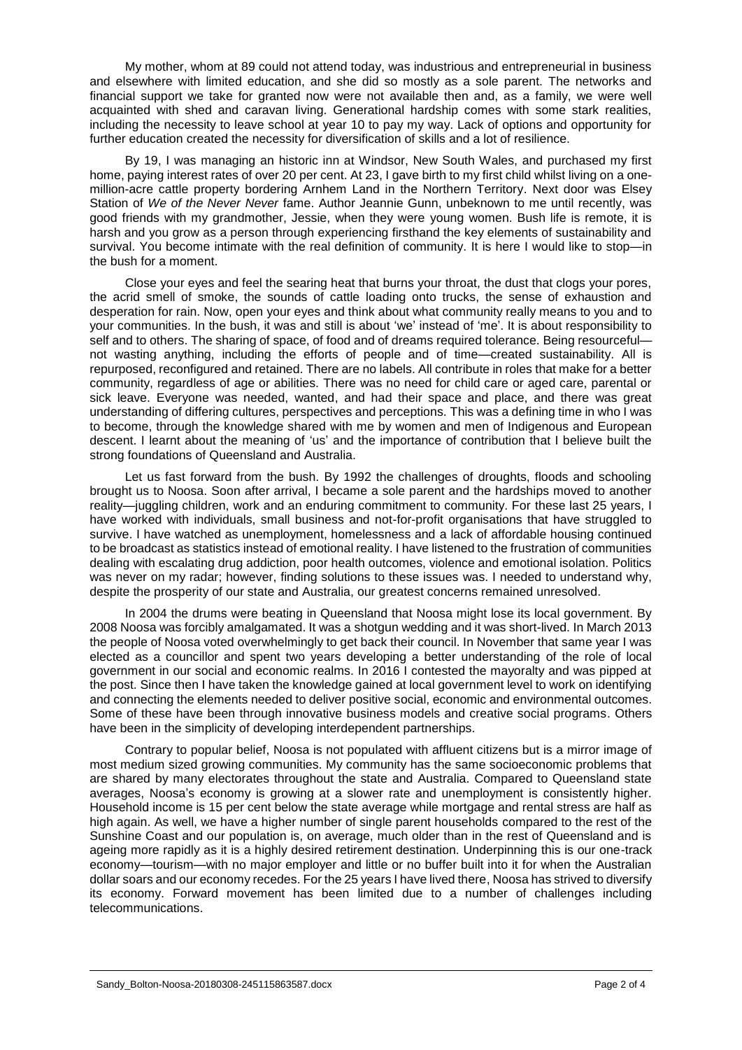My mother, whom at 89 could not attend today, was industrious and entrepreneurial in business and elsewhere with limited education, and she did so mostly as a sole parent. The networks and financial support we take for granted now were not available then and, as a family, we were well acquainted with shed and caravan living. Generational hardship comes with some stark realities, including the necessity to leave school at year 10 to pay my way. Lack of options and opportunity for further education created the necessity for diversification of skills and a lot of resilience.

By 19, I was managing an historic inn at Windsor, New South Wales, and purchased my first home, paying interest rates of over 20 per cent. At 23, I gave birth to my first child whilst living on a onemillion-acre cattle property bordering Arnhem Land in the Northern Territory. Next door was Elsey Station of *We of the Never Never* fame. Author Jeannie Gunn, unbeknown to me until recently, was good friends with my grandmother, Jessie, when they were young women. Bush life is remote, it is harsh and you grow as a person through experiencing firsthand the key elements of sustainability and survival. You become intimate with the real definition of community. It is here I would like to stop—in the bush for a moment.

Close your eyes and feel the searing heat that burns your throat, the dust that clogs your pores, the acrid smell of smoke, the sounds of cattle loading onto trucks, the sense of exhaustion and desperation for rain. Now, open your eyes and think about what community really means to you and to your communities. In the bush, it was and still is about 'we' instead of 'me'. It is about responsibility to self and to others. The sharing of space, of food and of dreams required tolerance. Being resourceful not wasting anything, including the efforts of people and of time—created sustainability. All is repurposed, reconfigured and retained. There are no labels. All contribute in roles that make for a better community, regardless of age or abilities. There was no need for child care or aged care, parental or sick leave. Everyone was needed, wanted, and had their space and place, and there was great understanding of differing cultures, perspectives and perceptions. This was a defining time in who I was to become, through the knowledge shared with me by women and men of Indigenous and European descent. I learnt about the meaning of 'us' and the importance of contribution that I believe built the strong foundations of Queensland and Australia.

Let us fast forward from the bush. By 1992 the challenges of droughts, floods and schooling brought us to Noosa. Soon after arrival, I became a sole parent and the hardships moved to another reality—juggling children, work and an enduring commitment to community. For these last 25 years, I have worked with individuals, small business and not-for-profit organisations that have struggled to survive. I have watched as unemployment, homelessness and a lack of affordable housing continued to be broadcast as statistics instead of emotional reality. I have listened to the frustration of communities dealing with escalating drug addiction, poor health outcomes, violence and emotional isolation. Politics was never on my radar; however, finding solutions to these issues was. I needed to understand why, despite the prosperity of our state and Australia, our greatest concerns remained unresolved.

In 2004 the drums were beating in Queensland that Noosa might lose its local government. By 2008 Noosa was forcibly amalgamated. It was a shotgun wedding and it was short-lived. In March 2013 the people of Noosa voted overwhelmingly to get back their council. In November that same year I was elected as a councillor and spent two years developing a better understanding of the role of local government in our social and economic realms. In 2016 I contested the mayoralty and was pipped at the post. Since then I have taken the knowledge gained at local government level to work on identifying and connecting the elements needed to deliver positive social, economic and environmental outcomes. Some of these have been through innovative business models and creative social programs. Others have been in the simplicity of developing interdependent partnerships.

Contrary to popular belief, Noosa is not populated with affluent citizens but is a mirror image of most medium sized growing communities. My community has the same socioeconomic problems that are shared by many electorates throughout the state and Australia. Compared to Queensland state averages, Noosa's economy is growing at a slower rate and unemployment is consistently higher. Household income is 15 per cent below the state average while mortgage and rental stress are half as high again. As well, we have a higher number of single parent households compared to the rest of the Sunshine Coast and our population is, on average, much older than in the rest of Queensland and is ageing more rapidly as it is a highly desired retirement destination. Underpinning this is our one-track economy—tourism—with no major employer and little or no buffer built into it for when the Australian dollar soars and our economy recedes. For the 25 years I have lived there, Noosa has strived to diversify its economy. Forward movement has been limited due to a number of challenges including telecommunications.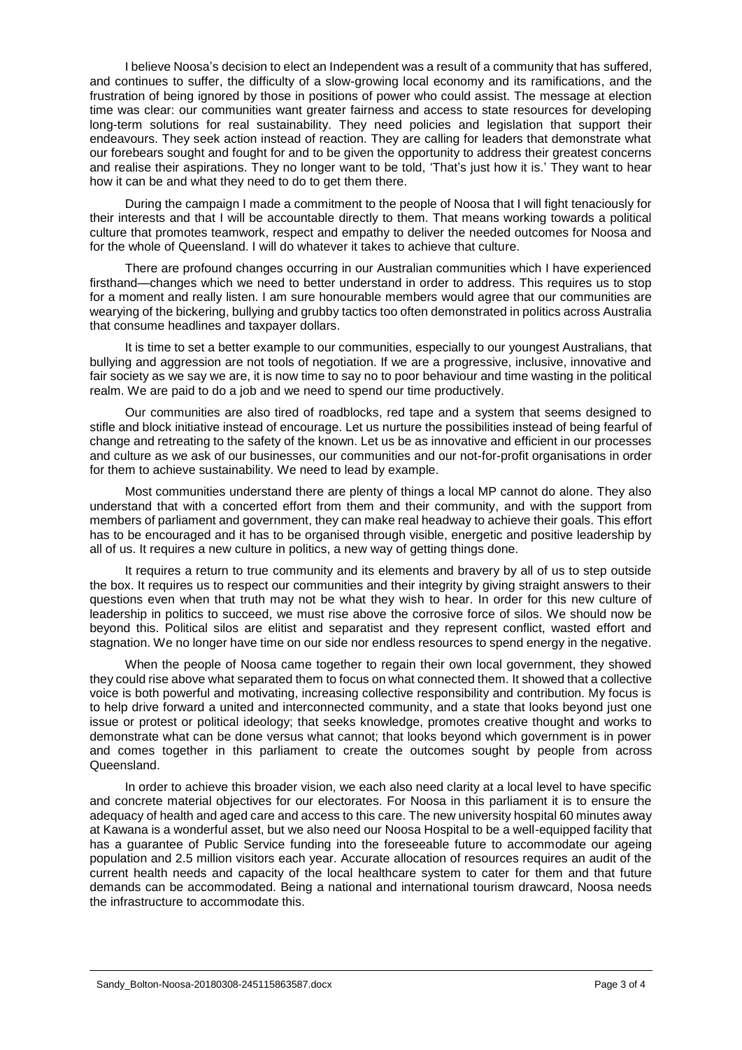I believe Noosa's decision to elect an Independent was a result of a community that has suffered, and continues to suffer, the difficulty of a slow-growing local economy and its ramifications, and the frustration of being ignored by those in positions of power who could assist. The message at election time was clear: our communities want greater fairness and access to state resources for developing long-term solutions for real sustainability. They need policies and legislation that support their endeavours. They seek action instead of reaction. They are calling for leaders that demonstrate what our forebears sought and fought for and to be given the opportunity to address their greatest concerns and realise their aspirations. They no longer want to be told, 'That's just how it is.' They want to hear how it can be and what they need to do to get them there.

During the campaign I made a commitment to the people of Noosa that I will fight tenaciously for their interests and that I will be accountable directly to them. That means working towards a political culture that promotes teamwork, respect and empathy to deliver the needed outcomes for Noosa and for the whole of Queensland. I will do whatever it takes to achieve that culture.

There are profound changes occurring in our Australian communities which I have experienced firsthand—changes which we need to better understand in order to address. This requires us to stop for a moment and really listen. I am sure honourable members would agree that our communities are wearying of the bickering, bullying and grubby tactics too often demonstrated in politics across Australia that consume headlines and taxpayer dollars.

It is time to set a better example to our communities, especially to our youngest Australians, that bullying and aggression are not tools of negotiation. If we are a progressive, inclusive, innovative and fair society as we say we are, it is now time to say no to poor behaviour and time wasting in the political realm. We are paid to do a job and we need to spend our time productively.

Our communities are also tired of roadblocks, red tape and a system that seems designed to stifle and block initiative instead of encourage. Let us nurture the possibilities instead of being fearful of change and retreating to the safety of the known. Let us be as innovative and efficient in our processes and culture as we ask of our businesses, our communities and our not-for-profit organisations in order for them to achieve sustainability. We need to lead by example.

Most communities understand there are plenty of things a local MP cannot do alone. They also understand that with a concerted effort from them and their community, and with the support from members of parliament and government, they can make real headway to achieve their goals. This effort has to be encouraged and it has to be organised through visible, energetic and positive leadership by all of us. It requires a new culture in politics, a new way of getting things done.

It requires a return to true community and its elements and bravery by all of us to step outside the box. It requires us to respect our communities and their integrity by giving straight answers to their questions even when that truth may not be what they wish to hear. In order for this new culture of leadership in politics to succeed, we must rise above the corrosive force of silos. We should now be beyond this. Political silos are elitist and separatist and they represent conflict, wasted effort and stagnation. We no longer have time on our side nor endless resources to spend energy in the negative.

When the people of Noosa came together to regain their own local government, they showed they could rise above what separated them to focus on what connected them. It showed that a collective voice is both powerful and motivating, increasing collective responsibility and contribution. My focus is to help drive forward a united and interconnected community, and a state that looks beyond just one issue or protest or political ideology; that seeks knowledge, promotes creative thought and works to demonstrate what can be done versus what cannot; that looks beyond which government is in power and comes together in this parliament to create the outcomes sought by people from across Queensland.

In order to achieve this broader vision, we each also need clarity at a local level to have specific and concrete material objectives for our electorates. For Noosa in this parliament it is to ensure the adequacy of health and aged care and access to this care. The new university hospital 60 minutes away at Kawana is a wonderful asset, but we also need our Noosa Hospital to be a well-equipped facility that has a guarantee of Public Service funding into the foreseeable future to accommodate our ageing population and 2.5 million visitors each year. Accurate allocation of resources requires an audit of the current health needs and capacity of the local healthcare system to cater for them and that future demands can be accommodated. Being a national and international tourism drawcard, Noosa needs the infrastructure to accommodate this.